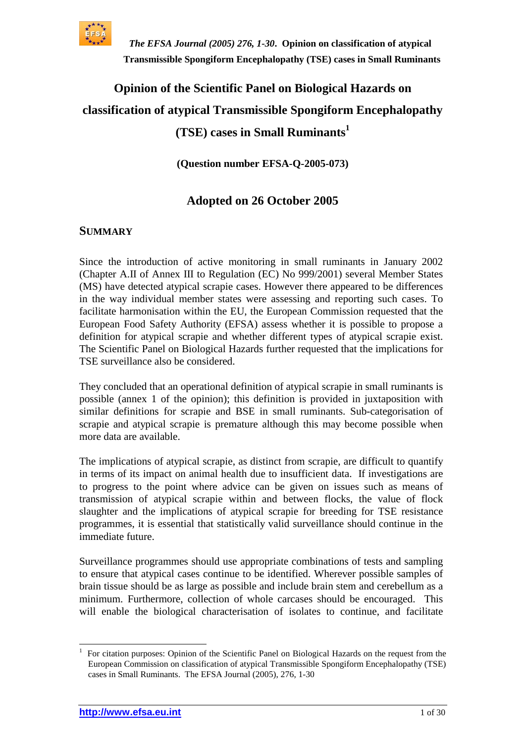

# **Opinion of the Scientific Panel on Biological Hazards on classification of atypical Transmissible Spongiform Encephalopathy (TSE) cases in Small Ruminants<sup>1</sup>**

**(Question number EFSA-Q-2005-073)** 

# **Adopted on 26 October 2005**

# **SUMMARY**

Since the introduction of active monitoring in small ruminants in January 2002 (Chapter A.II of Annex III to Regulation (EC) No 999/2001) several Member States (MS) have detected atypical scrapie cases. However there appeared to be differences in the way individual member states were assessing and reporting such cases. To facilitate harmonisation within the EU, the European Commission requested that the European Food Safety Authority (EFSA) assess whether it is possible to propose a definition for atypical scrapie and whether different types of atypical scrapie exist. The Scientific Panel on Biological Hazards further requested that the implications for TSE surveillance also be considered.

They concluded that an operational definition of atypical scrapie in small ruminants is possible (annex 1 of the opinion); this definition is provided in juxtaposition with similar definitions for scrapie and BSE in small ruminants. Sub-categorisation of scrapie and atypical scrapie is premature although this may become possible when more data are available.

The implications of atypical scrapie, as distinct from scrapie, are difficult to quantify in terms of its impact on animal health due to insufficient data. If investigations are to progress to the point where advice can be given on issues such as means of transmission of atypical scrapie within and between flocks, the value of flock slaughter and the implications of atypical scrapie for breeding for TSE resistance programmes, it is essential that statistically valid surveillance should continue in the immediate future.

Surveillance programmes should use appropriate combinations of tests and sampling to ensure that atypical cases continue to be identified. Wherever possible samples of brain tissue should be as large as possible and include brain stem and cerebellum as a minimum. Furthermore, collection of whole carcases should be encouraged. This will enable the biological characterisation of isolates to continue, and facilitate

l 1 For citation purposes: Opinion of the Scientific Panel on Biological Hazards on the request from the European Commission on classification of atypical Transmissible Spongiform Encephalopathy (TSE) cases in Small Ruminants. The EFSA Journal (2005), 276, 1-30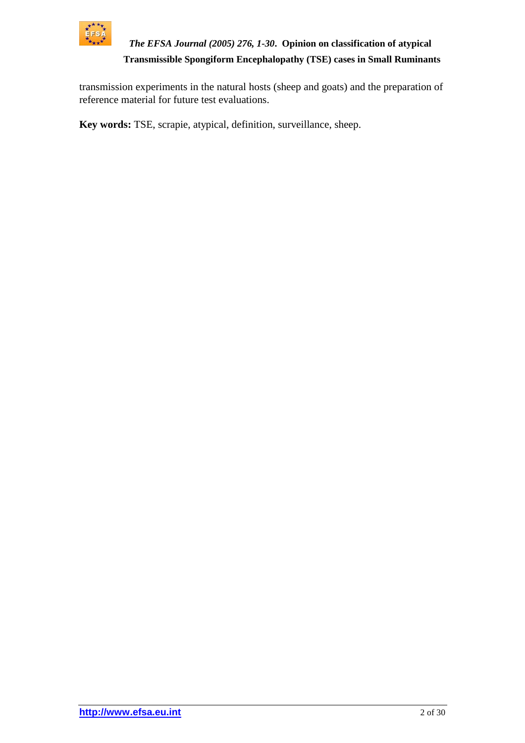

transmission experiments in the natural hosts (sheep and goats) and the preparation of reference material for future test evaluations.

**Key words:** TSE, scrapie, atypical, definition, surveillance, sheep.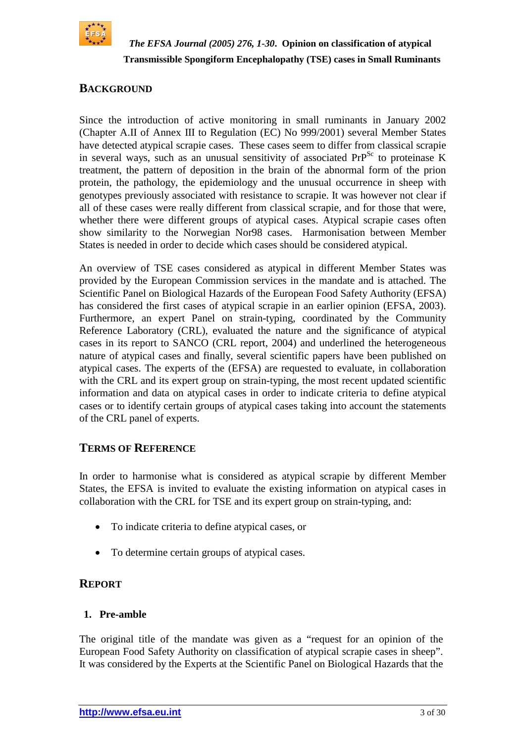

# **BACKGROUND**

Since the introduction of active monitoring in small ruminants in January 2002 (Chapter A.II of Annex III to Regulation (EC) No 999/2001) several Member States have detected atypical scrapie cases. These cases seem to differ from classical scrapie in several ways, such as an unusual sensitivity of associated  $Pr^{Sc}$  to proteinase K treatment, the pattern of deposition in the brain of the abnormal form of the prion protein, the pathology, the epidemiology and the unusual occurrence in sheep with genotypes previously associated with resistance to scrapie. It was however not clear if all of these cases were really different from classical scrapie, and for those that were, whether there were different groups of atypical cases. Atypical scrapie cases often show similarity to the Norwegian Nor98 cases. Harmonisation between Member States is needed in order to decide which cases should be considered atypical.

An overview of TSE cases considered as atypical in different Member States was provided by the European Commission services in the mandate and is attached. The Scientific Panel on Biological Hazards of the European Food Safety Authority (EFSA) has considered the first cases of atypical scrapie in an earlier opinion (EFSA, 2003). Furthermore, an expert Panel on strain-typing, coordinated by the Community Reference Laboratory (CRL), evaluated the nature and the significance of atypical cases in its report to SANCO (CRL report, 2004) and underlined the heterogeneous nature of atypical cases and finally, several scientific papers have been published on atypical cases. The experts of the (EFSA) are requested to evaluate, in collaboration with the CRL and its expert group on strain-typing, the most recent updated scientific information and data on atypical cases in order to indicate criteria to define atypical cases or to identify certain groups of atypical cases taking into account the statements of the CRL panel of experts.

# **TERMS OF REFERENCE**

In order to harmonise what is considered as atypical scrapie by different Member States, the EFSA is invited to evaluate the existing information on atypical cases in collaboration with the CRL for TSE and its expert group on strain-typing, and:

- To indicate criteria to define atypical cases, or
- To determine certain groups of atypical cases.

# **REPORT**

#### **1. Pre-amble**

The original title of the mandate was given as a "request for an opinion of the European Food Safety Authority on classification of atypical scrapie cases in sheep". It was considered by the Experts at the Scientific Panel on Biological Hazards that the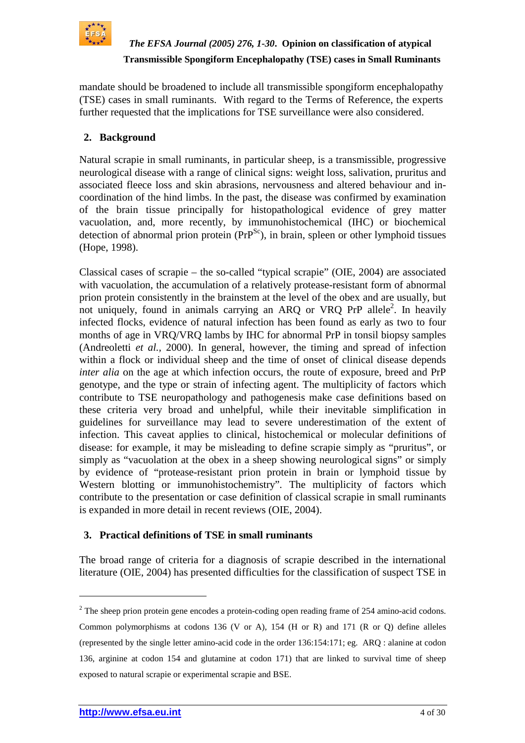

mandate should be broadened to include all transmissible spongiform encephalopathy (TSE) cases in small ruminants. With regard to the Terms of Reference, the experts further requested that the implications for TSE surveillance were also considered.

# **2. Background**

Natural scrapie in small ruminants, in particular sheep, is a transmissible, progressive neurological disease with a range of clinical signs: weight loss, salivation, pruritus and associated fleece loss and skin abrasions, nervousness and altered behaviour and incoordination of the hind limbs. In the past, the disease was confirmed by examination of the brain tissue principally for histopathological evidence of grey matter vacuolation, and, more recently, by immunohistochemical (IHC) or biochemical detection of abnormal prion protein  $(PrP^{Sc})$ , in brain, spleen or other lymphoid tissues (Hope, 1998).

Classical cases of scrapie – the so-called "typical scrapie" (OIE, 2004) are associated with vacuolation, the accumulation of a relatively protease-resistant form of abnormal prion protein consistently in the brainstem at the level of the obex and are usually, but not uniquely, found in animals carrying an ARQ or VRQ PrP allele<sup>2</sup>. In heavily infected flocks, evidence of natural infection has been found as early as two to four months of age in VRQ/VRQ lambs by IHC for abnormal PrP in tonsil biopsy samples (Andreoletti *et al.,* 2000). In general, however, the timing and spread of infection within a flock or individual sheep and the time of onset of clinical disease depends *inter alia* on the age at which infection occurs, the route of exposure, breed and PrP genotype, and the type or strain of infecting agent. The multiplicity of factors which contribute to TSE neuropathology and pathogenesis make case definitions based on these criteria very broad and unhelpful, while their inevitable simplification in guidelines for surveillance may lead to severe underestimation of the extent of infection. This caveat applies to clinical, histochemical or molecular definitions of disease: for example, it may be misleading to define scrapie simply as "pruritus", or simply as "vacuolation at the obex in a sheep showing neurological signs" or simply by evidence of "protease-resistant prion protein in brain or lymphoid tissue by Western blotting or immunohistochemistry". The multiplicity of factors which contribute to the presentation or case definition of classical scrapie in small ruminants is expanded in more detail in recent reviews (OIE, 2004).

# **3. Practical definitions of TSE in small ruminants**

The broad range of criteria for a diagnosis of scrapie described in the international literature (OIE, 2004) has presented difficulties for the classification of suspect TSE in

l

 $2^2$  The sheep prion protein gene encodes a protein-coding open reading frame of 254 amino-acid codons. Common polymorphisms at codons 136 (V or A), 154 (H or R) and 171 (R or Q) define alleles (represented by the single letter amino-acid code in the order 136:154:171; eg. ARQ : alanine at codon 136, arginine at codon 154 and glutamine at codon 171) that are linked to survival time of sheep exposed to natural scrapie or experimental scrapie and BSE.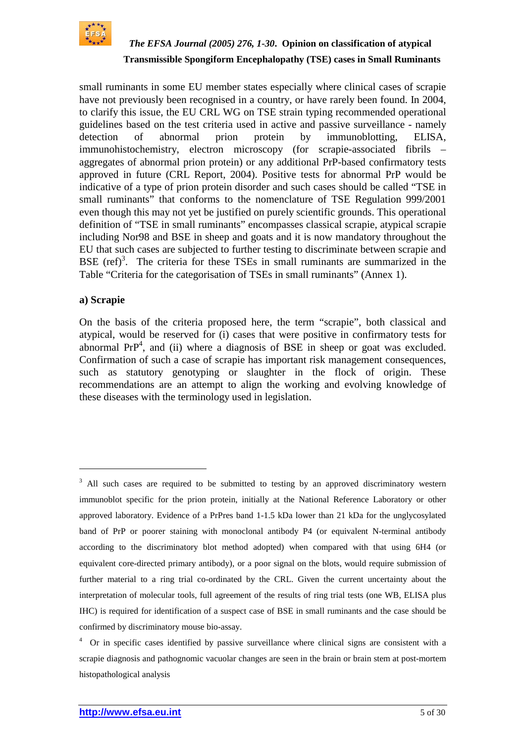

#### **Transmissible Spongiform Encephalopathy (TSE) cases in Small Ruminants**

small ruminants in some EU member states especially where clinical cases of scrapie have not previously been recognised in a country, or have rarely been found. In 2004, to clarify this issue, the EU CRL WG on TSE strain typing recommended operational guidelines based on the test criteria used in active and passive surveillance - namely detection of abnormal prion protein by immunoblotting, ELISA, immunohistochemistry, electron microscopy (for scrapie-associated fibrils – aggregates of abnormal prion protein) or any additional PrP-based confirmatory tests approved in future (CRL Report, 2004). Positive tests for abnormal PrP would be indicative of a type of prion protein disorder and such cases should be called "TSE in small ruminants" that conforms to the nomenclature of TSE Regulation 999/2001 even though this may not yet be justified on purely scientific grounds. This operational definition of "TSE in small ruminants" encompasses classical scrapie, atypical scrapie including Nor98 and BSE in sheep and goats and it is now mandatory throughout the EU that such cases are subjected to further testing to discriminate between scrapie and BSE (ref)<sup>3</sup>. The criteria for these TSEs in small ruminants are summarized in the Table "Criteria for the categorisation of TSEs in small ruminants" (Annex 1).

#### **a) Scrapie**

l

On the basis of the criteria proposed here, the term "scrapie", both classical and atypical, would be reserved for (i) cases that were positive in confirmatory tests for abnormal  $PrP<sup>4</sup>$ , and (ii) where a diagnosis of BSE in sheep or goat was excluded. Confirmation of such a case of scrapie has important risk management consequences, such as statutory genotyping or slaughter in the flock of origin. These recommendations are an attempt to align the working and evolving knowledge of these diseases with the terminology used in legislation.

 $3$  All such cases are required to be submitted to testing by an approved discriminatory western immunoblot specific for the prion protein, initially at the National Reference Laboratory or other approved laboratory. Evidence of a PrPres band 1-1.5 kDa lower than 21 kDa for the unglycosylated band of PrP or poorer staining with monoclonal antibody P4 (or equivalent N-terminal antibody according to the discriminatory blot method adopted) when compared with that using 6H4 (or equivalent core-directed primary antibody), or a poor signal on the blots, would require submission of further material to a ring trial co-ordinated by the CRL. Given the current uncertainty about the interpretation of molecular tools, full agreement of the results of ring trial tests (one WB, ELISA plus IHC) is required for identification of a suspect case of BSE in small ruminants and the case should be confirmed by discriminatory mouse bio-assay.

<sup>&</sup>lt;sup>4</sup> Or in specific cases identified by passive surveillance where clinical signs are consistent with a scrapie diagnosis and pathognomic vacuolar changes are seen in the brain or brain stem at post-mortem histopathological analysis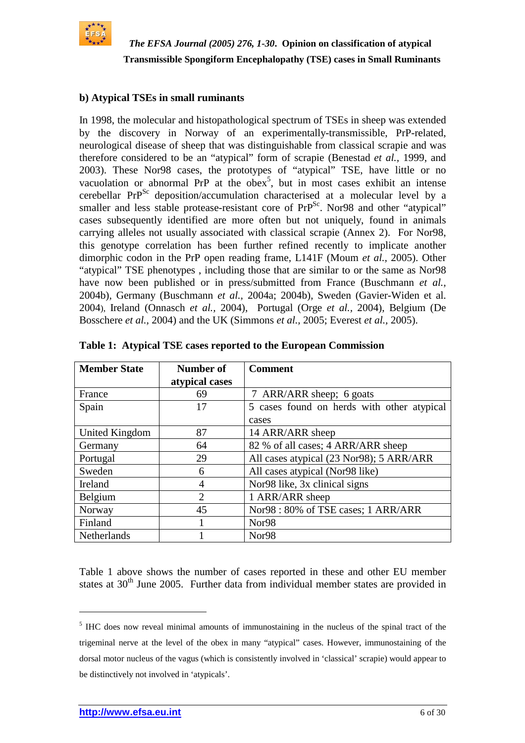

#### **b) Atypical TSEs in small ruminants**

In 1998, the molecular and histopathological spectrum of TSEs in sheep was extended by the discovery in Norway of an experimentally-transmissible, PrP-related, neurological disease of sheep that was distinguishable from classical scrapie and was therefore considered to be an "atypical" form of scrapie (Benestad *et al.,* 1999, and 2003). These Nor98 cases, the prototypes of "atypical" TSE, have little or no vacuolation or abnormal PrP at the obex<sup>5</sup>, but in most cases exhibit an intense cerebellar  $Pr^{Sc}$  deposition/accumulation characterised at a molecular level by a smaller and less stable protease-resistant core of PrP<sup>Sc</sup>. Nor98 and other "atypical" cases subsequently identified are more often but not uniquely, found in animals carrying alleles not usually associated with classical scrapie (Annex 2). For Nor98, this genotype correlation has been further refined recently to implicate another dimorphic codon in the PrP open reading frame, L141F (Moum *et al.,* 2005). Other "atypical" TSE phenotypes , including those that are similar to or the same as Nor98 have now been published or in press/submitted from France (Buschmann *et al.,* 2004b), Germany (Buschmann *et al.,* 2004a; 2004b), Sweden (Gavier-Widen et al. 2004), Ireland (Onnasch *et al.,* 2004), Portugal (Orge *et al.,* 2004), Belgium (De Bosschere *et al.,* 2004) and the UK (Simmons *et al.,* 2005; Everest *et al.,* 2005).

| <b>Member State</b> | Number of      | <b>Comment</b>                             |
|---------------------|----------------|--------------------------------------------|
|                     | atypical cases |                                            |
| France              | 69             | 7 ARR/ARR sheep; 6 goats                   |
| Spain               | 17             | 5 cases found on herds with other atypical |
|                     |                | cases                                      |
| United Kingdom      | 87             | 14 ARR/ARR sheep                           |
| Germany             | 64             | 82 % of all cases; 4 ARR/ARR sheep         |
| Portugal            | 29             | All cases atypical (23 Nor98); 5 ARR/ARR   |
| Sweden              | 6              | All cases atypical (Nor98 like)            |
| Ireland             | 4              | Nor98 like, 3x clinical signs              |
| Belgium             | $\mathfrak{D}$ | 1 ARR/ARR sheep                            |
| Norway              | 45             | Nor98: 80% of TSE cases; 1 ARR/ARR         |
| Finland             |                | Nor <sub>98</sub>                          |
| Netherlands         |                | Nor98                                      |

|  |  | Table 1: Atypical TSE cases reported to the European Commission |
|--|--|-----------------------------------------------------------------|
|  |  |                                                                 |

Table 1 above shows the number of cases reported in these and other EU member states at  $30<sup>th</sup>$  June 2005. Further data from individual member states are provided in

l

<sup>&</sup>lt;sup>5</sup> IHC does now reveal minimal amounts of immunostaining in the nucleus of the spinal tract of the trigeminal nerve at the level of the obex in many "atypical" cases. However, immunostaining of the dorsal motor nucleus of the vagus (which is consistently involved in 'classical' scrapie) would appear to be distinctively not involved in 'atypicals'.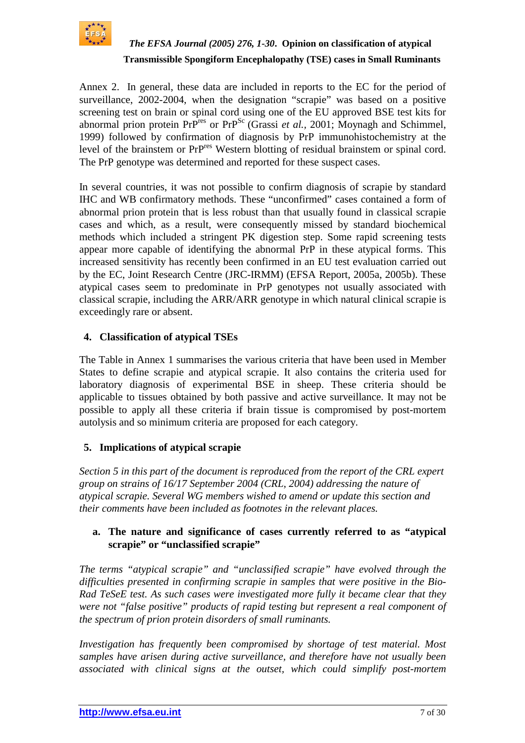

#### **Transmissible Spongiform Encephalopathy (TSE) cases in Small Ruminants**

Annex 2. In general, these data are included in reports to the EC for the period of surveillance, 2002-2004, when the designation "scrapie" was based on a positive screening test on brain or spinal cord using one of the EU approved BSE test kits for abnormal prion protein  $PrP<sup>res</sup>$  or  $PrP<sup>Sc</sup>$  (Grassi *et al.*, 2001; Moynagh and Schimmel, 1999) followed by confirmation of diagnosis by PrP immunohistochemistry at the level of the brainstem or PrP<sup>res</sup> Western blotting of residual brainstem or spinal cord. The PrP genotype was determined and reported for these suspect cases.

In several countries, it was not possible to confirm diagnosis of scrapie by standard IHC and WB confirmatory methods. These "unconfirmed" cases contained a form of abnormal prion protein that is less robust than that usually found in classical scrapie cases and which, as a result, were consequently missed by standard biochemical methods which included a stringent PK digestion step. Some rapid screening tests appear more capable of identifying the abnormal PrP in these atypical forms. This increased sensitivity has recently been confirmed in an EU test evaluation carried out by the EC, Joint Research Centre (JRC-IRMM) (EFSA Report, 2005a, 2005b). These atypical cases seem to predominate in PrP genotypes not usually associated with classical scrapie, including the ARR/ARR genotype in which natural clinical scrapie is exceedingly rare or absent.

#### **4. Classification of atypical TSEs**

The Table in Annex 1 summarises the various criteria that have been used in Member States to define scrapie and atypical scrapie. It also contains the criteria used for laboratory diagnosis of experimental BSE in sheep. These criteria should be applicable to tissues obtained by both passive and active surveillance. It may not be possible to apply all these criteria if brain tissue is compromised by post-mortem autolysis and so minimum criteria are proposed for each category.

#### **5. Implications of atypical scrapie**

*Section 5 in this part of the document is reproduced from the report of the CRL expert group on strains of 16/17 September 2004 (CRL, 2004) addressing the nature of atypical scrapie. Several WG members wished to amend or update this section and their comments have been included as footnotes in the relevant places.* 

#### **a. The nature and significance of cases currently referred to as "atypical scrapie" or "unclassified scrapie"**

*The terms "atypical scrapie" and "unclassified scrapie" have evolved through the difficulties presented in confirming scrapie in samples that were positive in the Bio-Rad TeSeE test. As such cases were investigated more fully it became clear that they were not "false positive" products of rapid testing but represent a real component of the spectrum of prion protein disorders of small ruminants.* 

*Investigation has frequently been compromised by shortage of test material. Most samples have arisen during active surveillance, and therefore have not usually been associated with clinical signs at the outset, which could simplify post-mortem*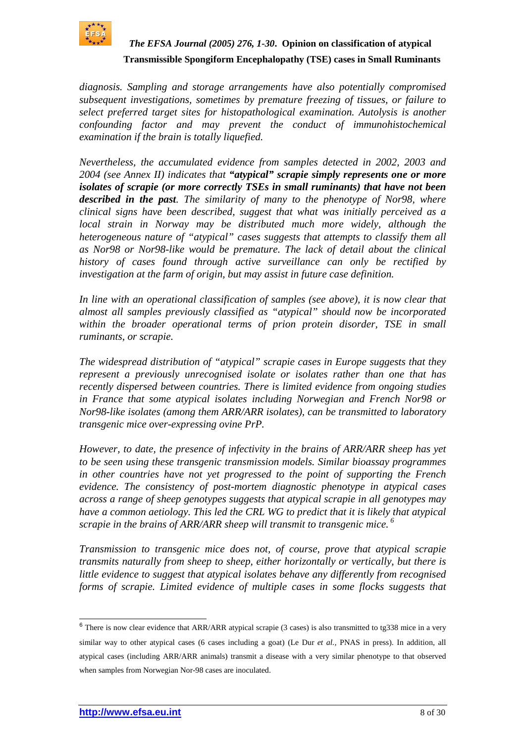

*diagnosis. Sampling and storage arrangements have also potentially compromised subsequent investigations, sometimes by premature freezing of tissues, or failure to select preferred target sites for histopathological examination. Autolysis is another confounding factor and may prevent the conduct of immunohistochemical examination if the brain is totally liquefied.* 

*Nevertheless, the accumulated evidence from samples detected in 2002, 2003 and 2004 (see Annex II) indicates that "atypical" scrapie simply represents one or more isolates of scrapie (or more correctly TSEs in small ruminants) that have not been described in the past. The similarity of many to the phenotype of Nor98, where clinical signs have been described, suggest that what was initially perceived as a local strain in Norway may be distributed much more widely, although the heterogeneous nature of "atypical" cases suggests that attempts to classify them all as Nor98 or Nor98-like would be premature. The lack of detail about the clinical history of cases found through active surveillance can only be rectified by investigation at the farm of origin, but may assist in future case definition.* 

*In line with an operational classification of samples (see above), it is now clear that almost all samples previously classified as "atypical" should now be incorporated*  within the broader operational terms of prion protein disorder, TSE in small *ruminants, or scrapie.* 

*The widespread distribution of "atypical" scrapie cases in Europe suggests that they represent a previously unrecognised isolate or isolates rather than one that has recently dispersed between countries. There is limited evidence from ongoing studies in France that some atypical isolates including Norwegian and French Nor98 or Nor98-like isolates (among them ARR/ARR isolates), can be transmitted to laboratory transgenic mice over-expressing ovine PrP.* 

*However, to date, the presence of infectivity in the brains of ARR/ARR sheep has yet to be seen using these transgenic transmission models. Similar bioassay programmes in other countries have not yet progressed to the point of supporting the French evidence. The consistency of post-mortem diagnostic phenotype in atypical cases across a range of sheep genotypes suggests that atypical scrapie in all genotypes may have a common aetiology. This led the CRL WG to predict that it is likely that atypical scrapie in the brains of ARR/ARR sheep will transmit to transgenic mice.<sup>6</sup>*

*Transmission to transgenic mice does not, of course, prove that atypical scrapie transmits naturally from sheep to sheep, either horizontally or vertically, but there is little evidence to suggest that atypical isolates behave any differently from recognised forms of scrapie. Limited evidence of multiple cases in some flocks suggests that* 

l

<sup>&</sup>lt;sup>6</sup> There is now clear evidence that ARR/ARR atypical scrapie (3 cases) is also transmitted to tg338 mice in a very similar way to other atypical cases (6 cases including a goat) (Le Dur *et al.,* PNAS in press). In addition, all atypical cases (including ARR/ARR animals) transmit a disease with a very similar phenotype to that observed when samples from Norwegian Nor-98 cases are inoculated.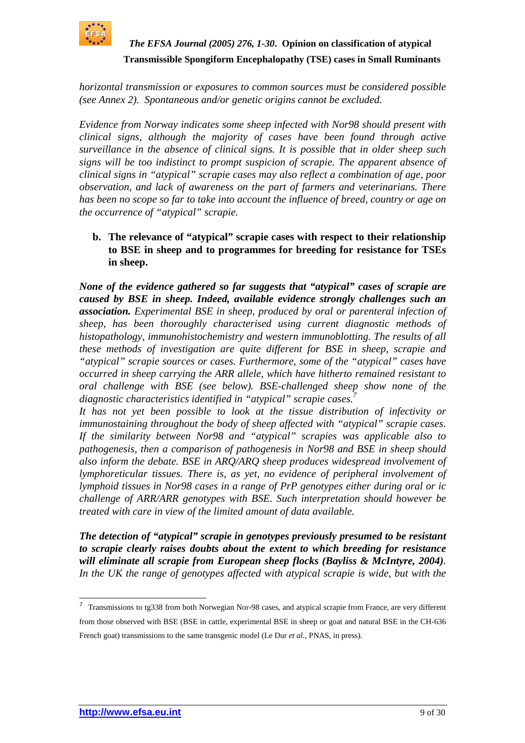

*horizontal transmission or exposures to common sources must be considered possible (see Annex 2). Spontaneous and/or genetic origins cannot be excluded.* 

*Evidence from Norway indicates some sheep infected with Nor98 should present with clinical signs, although the majority of cases have been found through active surveillance in the absence of clinical signs. It is possible that in older sheep such signs will be too indistinct to prompt suspicion of scrapie. The apparent absence of clinical signs in "atypical" scrapie cases may also reflect a combination of age, poor observation, and lack of awareness on the part of farmers and veterinarians. There has been no scope so far to take into account the influence of breed, country or age on the occurrence of "atypical" scrapie.* 

**b. The relevance of "atypical" scrapie cases with respect to their relationship to BSE in sheep and to programmes for breeding for resistance for TSEs in sheep.** 

*None of the evidence gathered so far suggests that "atypical" cases of scrapie are caused by BSE in sheep. Indeed, available evidence strongly challenges such an association. Experimental BSE in sheep, produced by oral or parenteral infection of sheep, has been thoroughly characterised using current diagnostic methods of histopathology, immunohistochemistry and western immunoblotting. The results of all these methods of investigation are quite different for BSE in sheep, scrapie and "atypical" scrapie sources or cases. Furthermore, some of the "atypical" cases have occurred in sheep carrying the ARR allele, which have hitherto remained resistant to oral challenge with BSE (see below). BSE-challenged sheep show none of the diagnostic characteristics identified in "atypical" scrapie cases.7* 

*It has not yet been possible to look at the tissue distribution of infectivity or immunostaining throughout the body of sheep affected with "atypical" scrapie cases. If the similarity between Nor98 and "atypical" scrapies was applicable also to pathogenesis, then a comparison of pathogenesis in Nor98 and BSE in sheep should also inform the debate. BSE in ARQ/ARQ sheep produces widespread involvement of lymphoreticular tissues. There is, as yet, no evidence of peripheral involvement of lymphoid tissues in Nor98 cases in a range of PrP genotypes either during oral or ic challenge of ARR/ARR genotypes with BSE. Such interpretation should however be treated with care in view of the limited amount of data available.* 

*The detection of "atypical" scrapie in genotypes previously presumed to be resistant to scrapie clearly raises doubts about the extent to which breeding for resistance will eliminate all scrapie from European sheep flocks (Bayliss & McIntyre, 2004). In the UK the range of genotypes affected with atypical scrapie is wide, but with the* 

 $\boldsymbol{7}$ <sup>7</sup> Transmissions to tg338 from both Norwegian Nor-98 cases, and atypical scrapie from France, are very different from those observed with BSE (BSE in cattle, experimental BSE in sheep or goat and natural BSE in the CH-636 French goat) transmissions to the same transgenic model (Le Dur *et al.,* PNAS, in press).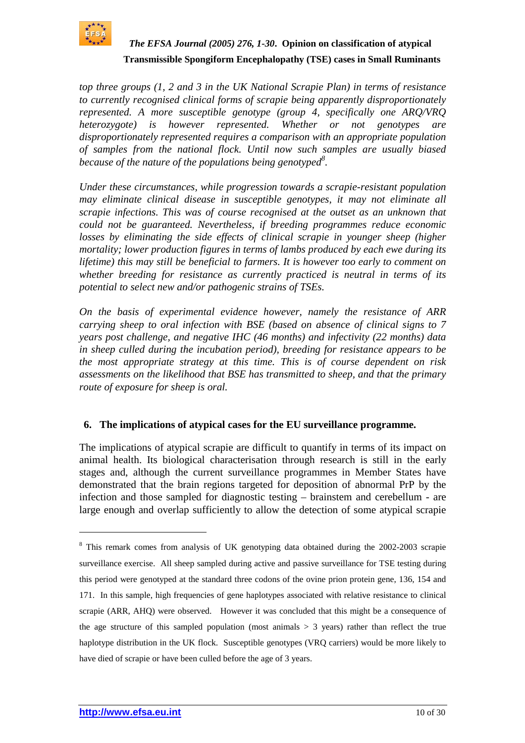

*top three groups (1, 2 and 3 in the UK National Scrapie Plan) in terms of resistance to currently recognised clinical forms of scrapie being apparently disproportionately represented. A more susceptible genotype (group 4, specifically one ARQ/VRQ heterozygote) is however represented. Whether or not genotypes are disproportionately represented requires a comparison with an appropriate population of samples from the national flock. Until now such samples are usually biased because of the nature of the populations being genotyped<sup>8</sup> .* 

*Under these circumstances, while progression towards a scrapie-resistant population may eliminate clinical disease in susceptible genotypes, it may not eliminate all scrapie infections. This was of course recognised at the outset as an unknown that could not be guaranteed. Nevertheless, if breeding programmes reduce economic losses by eliminating the side effects of clinical scrapie in younger sheep (higher mortality; lower production figures in terms of lambs produced by each ewe during its lifetime) this may still be beneficial to farmers. It is however too early to comment on whether breeding for resistance as currently practiced is neutral in terms of its potential to select new and/or pathogenic strains of TSEs.* 

*On the basis of experimental evidence however, namely the resistance of ARR carrying sheep to oral infection with BSE (based on absence of clinical signs to 7 years post challenge, and negative IHC (46 months) and infectivity (22 months) data in sheep culled during the incubation period), breeding for resistance appears to be the most appropriate strategy at this time. This is of course dependent on risk assessments on the likelihood that BSE has transmitted to sheep, and that the primary route of exposure for sheep is oral.* 

# **6. The implications of atypical cases for the EU surveillance programme.**

The implications of atypical scrapie are difficult to quantify in terms of its impact on animal health. Its biological characterisation through research is still in the early stages and, although the current surveillance programmes in Member States have demonstrated that the brain regions targeted for deposition of abnormal PrP by the infection and those sampled for diagnostic testing – brainstem and cerebellum - are large enough and overlap sufficiently to allow the detection of some atypical scrapie

l

<sup>&</sup>lt;sup>8</sup> This remark comes from analysis of UK genotyping data obtained during the 2002-2003 scrapie surveillance exercise. All sheep sampled during active and passive surveillance for TSE testing during this period were genotyped at the standard three codons of the ovine prion protein gene, 136, 154 and 171. In this sample, high frequencies of gene haplotypes associated with relative resistance to clinical scrapie (ARR, AHQ) were observed. However it was concluded that this might be a consequence of the age structure of this sampled population (most animals  $> 3$  years) rather than reflect the true haplotype distribution in the UK flock. Susceptible genotypes (VRQ carriers) would be more likely to have died of scrapie or have been culled before the age of 3 years.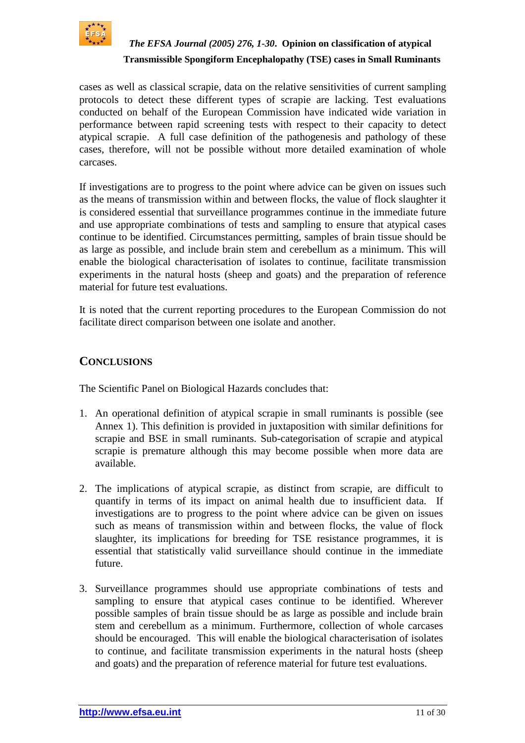

#### **Transmissible Spongiform Encephalopathy (TSE) cases in Small Ruminants**

cases as well as classical scrapie, data on the relative sensitivities of current sampling protocols to detect these different types of scrapie are lacking. Test evaluations conducted on behalf of the European Commission have indicated wide variation in performance between rapid screening tests with respect to their capacity to detect atypical scrapie. A full case definition of the pathogenesis and pathology of these cases, therefore, will not be possible without more detailed examination of whole carcases.

If investigations are to progress to the point where advice can be given on issues such as the means of transmission within and between flocks, the value of flock slaughter it is considered essential that surveillance programmes continue in the immediate future and use appropriate combinations of tests and sampling to ensure that atypical cases continue to be identified. Circumstances permitting, samples of brain tissue should be as large as possible, and include brain stem and cerebellum as a minimum. This will enable the biological characterisation of isolates to continue, facilitate transmission experiments in the natural hosts (sheep and goats) and the preparation of reference material for future test evaluations.

It is noted that the current reporting procedures to the European Commission do not facilitate direct comparison between one isolate and another.

#### **CONCLUSIONS**

The Scientific Panel on Biological Hazards concludes that:

- 1. An operational definition of atypical scrapie in small ruminants is possible (see Annex 1). This definition is provided in juxtaposition with similar definitions for scrapie and BSE in small ruminants. Sub-categorisation of scrapie and atypical scrapie is premature although this may become possible when more data are available.
- 2. The implications of atypical scrapie, as distinct from scrapie, are difficult to quantify in terms of its impact on animal health due to insufficient data. If investigations are to progress to the point where advice can be given on issues such as means of transmission within and between flocks, the value of flock slaughter, its implications for breeding for TSE resistance programmes, it is essential that statistically valid surveillance should continue in the immediate future.
- 3. Surveillance programmes should use appropriate combinations of tests and sampling to ensure that atypical cases continue to be identified. Wherever possible samples of brain tissue should be as large as possible and include brain stem and cerebellum as a minimum. Furthermore, collection of whole carcases should be encouraged. This will enable the biological characterisation of isolates to continue, and facilitate transmission experiments in the natural hosts (sheep and goats) and the preparation of reference material for future test evaluations.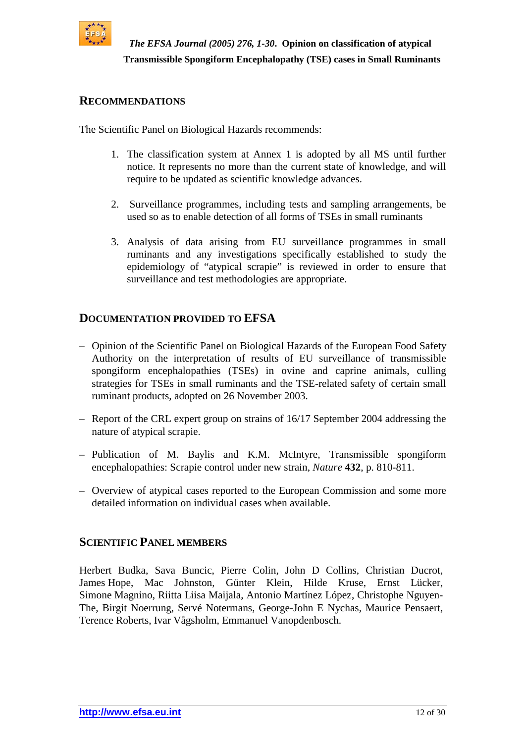

### **RECOMMENDATIONS**

The Scientific Panel on Biological Hazards recommends:

- 1. The classification system at Annex 1 is adopted by all MS until further notice. It represents no more than the current state of knowledge, and will require to be updated as scientific knowledge advances.
- 2. Surveillance programmes, including tests and sampling arrangements, be used so as to enable detection of all forms of TSEs in small ruminants
- 3. Analysis of data arising from EU surveillance programmes in small ruminants and any investigations specifically established to study the epidemiology of "atypical scrapie" is reviewed in order to ensure that surveillance and test methodologies are appropriate.

# **DOCUMENTATION PROVIDED TO EFSA**

- Opinion of the Scientific Panel on Biological Hazards of the European Food Safety Authority on the interpretation of results of EU surveillance of transmissible spongiform encephalopathies (TSEs) in ovine and caprine animals, culling strategies for TSEs in small ruminants and the TSE-related safety of certain small ruminant products, adopted on 26 November 2003.
- Report of the CRL expert group on strains of 16/17 September 2004 addressing the nature of atypical scrapie.
- Publication of M. Baylis and K.M. McIntyre, Transmissible spongiform encephalopathies: Scrapie control under new strain, *Nature* **432**, p. 810-811.
- Overview of atypical cases reported to the European Commission and some more detailed information on individual cases when available.

#### **SCIENTIFIC PANEL MEMBERS**

Herbert Budka, Sava Buncic, Pierre Colin, John D Collins, Christian Ducrot, James Hope, Mac Johnston, Günter Klein, Hilde Kruse, Ernst Lücker, Simone Magnino, Riitta Liisa Maijala, Antonio Martínez López, Christophe Nguyen-The, Birgit Noerrung, Servé Notermans, George-John E Nychas, Maurice Pensaert, Terence Roberts, Ivar Vågsholm, Emmanuel Vanopdenbosch.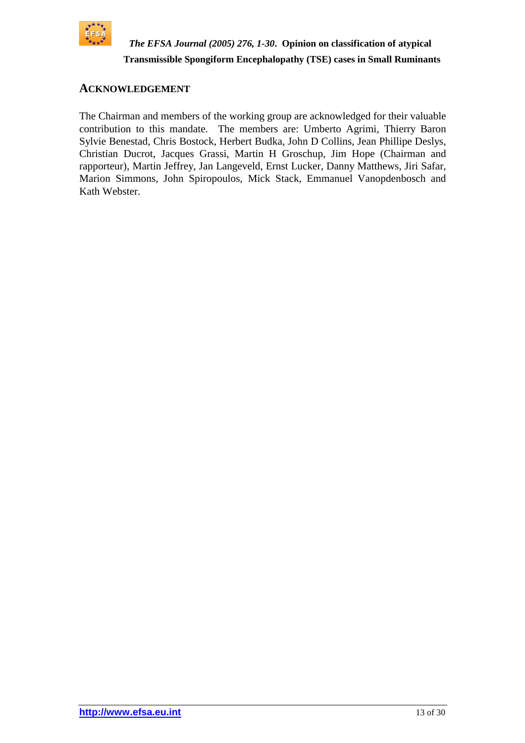

#### **ACKNOWLEDGEMENT**

The Chairman and members of the working group are acknowledged for their valuable contribution to this mandate. The members are: Umberto Agrimi, Thierry Baron Sylvie Benestad, Chris Bostock, Herbert Budka, John D Collins, Jean Phillipe Deslys, Christian Ducrot, Jacques Grassi, Martin H Groschup, Jim Hope (Chairman and rapporteur), Martin Jeffrey, Jan Langeveld, Ernst Lucker, Danny Matthews, Jiri Safar, Marion Simmons, John Spiropoulos, Mick Stack, Emmanuel Vanopdenbosch and Kath Webster.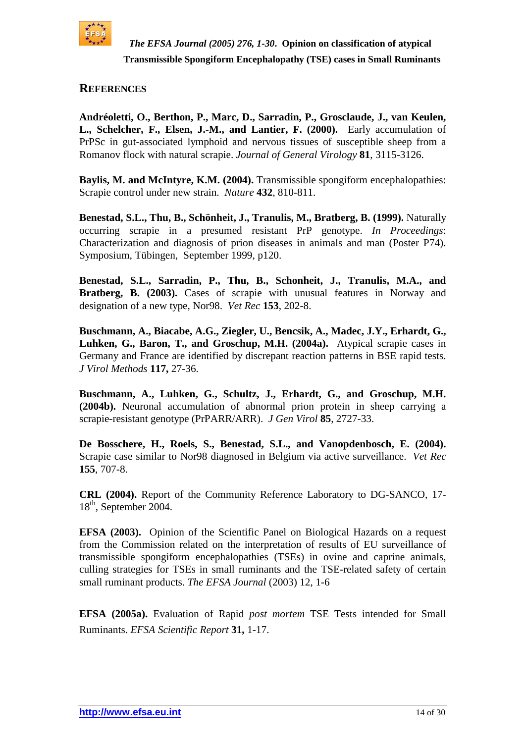

# **REFERENCES**

**Andréoletti, O., Berthon, P., Marc, D., Sarradin, P., Grosclaude, J., van Keulen, L., Schelcher, F., Elsen, J.-M., and Lantier, F. (2000).** Early accumulation of PrPSc in gut-associated lymphoid and nervous tissues of susceptible sheep from a Romanov flock with natural scrapie. *Journal of General Virology* **81**, 3115-3126.

**Baylis, M. and McIntyre, K.M. (2004).** Transmissible spongiform encephalopathies: Scrapie control under new strain. *Nature* **432**, 810-811.

**Benestad, S.L., Thu, B., Schönheit, J., Tranulis, M., Bratberg, B. (1999).** Naturally occurring scrapie in a presumed resistant PrP genotype. *In Proceedings*: Characterization and diagnosis of prion diseases in animals and man (Poster P74). Symposium, Tübingen, September 1999, p120.

**Benestad, S.L., Sarradin, P., Thu, B., Schonheit, J., Tranulis, M.A., and Bratberg, B. (2003).** Cases of scrapie with unusual features in Norway and designation of a new type, Nor98. *Vet Rec* **153**, 202-8.

**Buschmann, A., Biacabe, A.G., Ziegler, U., Bencsik, A., Madec, J.Y., Erhardt, G., Luhken, G., Baron, T., and Groschup, M.H. (2004a).** Atypical scrapie cases in Germany and France are identified by discrepant reaction patterns in BSE rapid tests. *J Virol Methods* **117,** 27-36.

**Buschmann, A., Luhken, G., Schultz, J., Erhardt, G., and Groschup, M.H. (2004b).** Neuronal accumulation of abnormal prion protein in sheep carrying a scrapie-resistant genotype (PrPARR/ARR). *J Gen Virol* **85**, 2727-33.

**De Bosschere, H., Roels, S., Benestad, S.L., and Vanopdenbosch, E. (2004).** Scrapie case similar to Nor98 diagnosed in Belgium via active surveillance. *Vet Rec* **155**, 707-8.

**CRL (2004).** Report of the Community Reference Laboratory to DG-SANCO, 17- 18<sup>th</sup>, September 2004.

**EFSA (2003).** Opinion of the Scientific Panel on Biological Hazards on a request from the Commission related on the interpretation of results of EU surveillance of transmissible spongiform encephalopathies (TSEs) in ovine and caprine animals, culling strategies for TSEs in small ruminants and the TSE-related safety of certain small ruminant products. *The EFSA Journal* (2003) 12, 1-6

**EFSA (2005a).** Evaluation of Rapid *post mortem* TSE Tests intended for Small Ruminants. *EFSA Scientific Report* **31,** 1-17.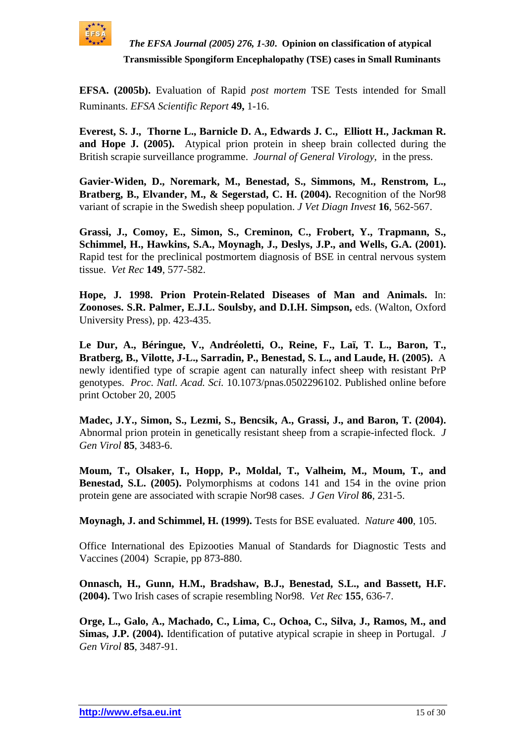

**EFSA. (2005b).** Evaluation of Rapid *post mortem* TSE Tests intended for Small Ruminants. *EFSA Scientific Report* **49,** 1-16.

**Everest, S. J., Thorne L., Barnicle D. A., Edwards J. C., Elliott H., Jackman R. and Hope J. (2005).** Atypical prion protein in sheep brain collected during the British scrapie surveillance programme. *Journal of General Virology*, in the press.

**Gavier-Widen, D., Noremark, M., Benestad, S., Simmons, M., Renstrom, L., Bratberg, B., Elvander, M., & Segerstad, C. H. (2004).** Recognition of the Nor98 variant of scrapie in the Swedish sheep population. *J Vet Diagn Invest* **16**, 562-567.

**Grassi, J., Comoy, E., Simon, S., Creminon, C., Frobert, Y., Trapmann, S., Schimmel, H., Hawkins, S.A., Moynagh, J., Deslys, J.P., and Wells, G.A. (2001).** Rapid test for the preclinical postmortem diagnosis of BSE in central nervous system tissue. *Vet Rec* **149**, 577-582.

**Hope, J. 1998. Prion Protein-Related Diseases of Man and Animals.** In: **Zoonoses. S.R. Palmer, E.J.L. Soulsby, and D.I.H. Simpson,** eds. (Walton, Oxford University Press), pp. 423-435.

**Le Dur, A., Béringue, V., Andréoletti, O., Reine, F., Laï, T. L., Baron, T., Bratberg, B., Vilotte, J-L., Sarradin, P., Benestad, S. L., and Laude, H. (2005).** A newly identified type of scrapie agent can naturally infect sheep with resistant PrP genotypes. *Proc. Natl. Acad. Sci.* 10.1073/pnas.0502296102. Published online before print October 20, 2005

**Madec, J.Y., Simon, S., Lezmi, S., Bencsik, A., Grassi, J., and Baron, T. (2004).** Abnormal prion protein in genetically resistant sheep from a scrapie-infected flock. *J Gen Virol* **85**, 3483-6.

**Moum, T., Olsaker, I., Hopp, P., Moldal, T., Valheim, M., Moum, T., and Benestad, S.L. (2005).** Polymorphisms at codons 141 and 154 in the ovine prion protein gene are associated with scrapie Nor98 cases. *J Gen Virol* **86**, 231-5.

**Moynagh, J. and Schimmel, H. (1999).** Tests for BSE evaluated. *Nature* **400**, 105.

Office International des Epizooties Manual of Standards for Diagnostic Tests and Vaccines (2004) Scrapie, pp 873-880.

**Onnasch, H., Gunn, H.M., Bradshaw, B.J., Benestad, S.L., and Bassett, H.F. (2004).** Two Irish cases of scrapie resembling Nor98. *Vet Rec* **155**, 636-7.

**Orge, L., Galo, A., Machado, C., Lima, C., Ochoa, C., Silva, J., Ramos, M., and Simas, J.P. (2004).** Identification of putative atypical scrapie in sheep in Portugal. *J Gen Virol* **85**, 3487-91.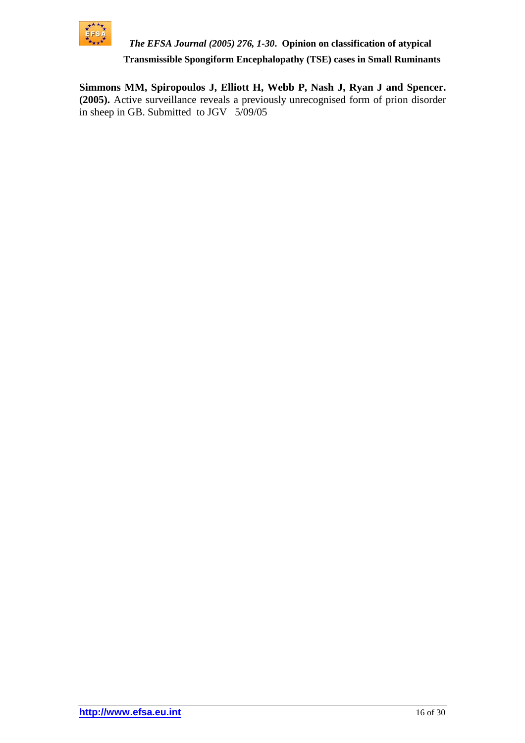

**Simmons MM, Spiropoulos J, Elliott H, Webb P, Nash J, Ryan J and Spencer. (2005).** Active surveillance reveals a previously unrecognised form of prion disorder in sheep in GB. Submitted to JGV 5/09/05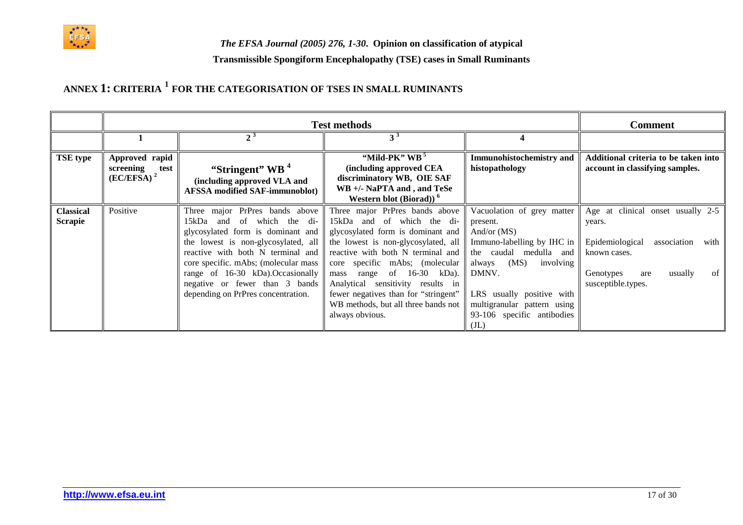

**Transmissible Spongiform Encephalopathy (TSE) cases in Small Ruminants** 

# **ANNEX 1: CRITERIA <sup>1</sup> FOR THE CATEGORISATION OF TSES IN SMALL RUMINANTS**

|                                    |                                                      | <b>Comment</b>                                                                                                                                                                                                                                                                                                                           |                                                                                                                                                                                                                                                                                                                                                                                              |                                                                                                                                                                                                                                                                        |                                                                                                                                                                  |
|------------------------------------|------------------------------------------------------|------------------------------------------------------------------------------------------------------------------------------------------------------------------------------------------------------------------------------------------------------------------------------------------------------------------------------------------|----------------------------------------------------------------------------------------------------------------------------------------------------------------------------------------------------------------------------------------------------------------------------------------------------------------------------------------------------------------------------------------------|------------------------------------------------------------------------------------------------------------------------------------------------------------------------------------------------------------------------------------------------------------------------|------------------------------------------------------------------------------------------------------------------------------------------------------------------|
|                                    |                                                      | 2 <sup>3</sup>                                                                                                                                                                                                                                                                                                                           | 3 <sup>3</sup>                                                                                                                                                                                                                                                                                                                                                                               |                                                                                                                                                                                                                                                                        |                                                                                                                                                                  |
| <b>TSE</b> type                    | Approved rapid<br>screening<br>test<br>$(EC/EFSA)^2$ | "Stringent" WB <sup>4</sup><br>(including approved VLA and<br><b>AFSSA</b> modified SAF-immunoblot)                                                                                                                                                                                                                                      | "Mild-PK" WB <sup>5</sup><br>(including approved CEA<br>discriminatory WB, OIE SAF<br>WB +/- NaPTA and, and TeSe<br>Western blot (Biorad)) <sup>6</sup>                                                                                                                                                                                                                                      | <b>Immunohistochemistry and</b><br>histopathology                                                                                                                                                                                                                      | Additional criteria to be taken into<br>account in classifying samples.                                                                                          |
| <b>Classical</b><br><b>Scrapie</b> | Positive                                             | Three major PrPres bands above<br>of which the di-<br>15kDa<br>and<br>glycosylated form is dominant and<br>the lowest is non-glycosylated, all<br>reactive with both N terminal and<br>core specific. mAbs; (molecular mass<br>range of 16-30 kDa). Occasionally<br>negative or fewer than 3 bands<br>depending on PrPres concentration. | Three major PrPres bands above<br>15kDa and of which the di-<br>glycosylated form is dominant and<br>the lowest is non-glycosylated, all<br>reactive with both N terminal and<br>core specific mAbs; (molecular<br>of 16-30 kDa).<br>mass<br>range<br>sensitivity results in<br>Analytical<br>fewer negatives than for "stringent"<br>WB methods, but all three bands not<br>always obvious. | Vacuolation of grey matter<br>present.<br>And/or $(MS)$<br>Immuno-labelling by IHC in<br>the caudal medulla and<br>(MS)<br>involving<br>always<br>DMNV.<br>LRS usually positive with<br>multigranular pattern using<br>93-106 specific antibodies<br>(J <sub>L</sub> ) | Age at clinical onset usually 2-5<br>years.<br>Epidemiological<br>association<br>with<br>known cases.<br>usually<br>of<br>Genotypes<br>are<br>susceptible.types. |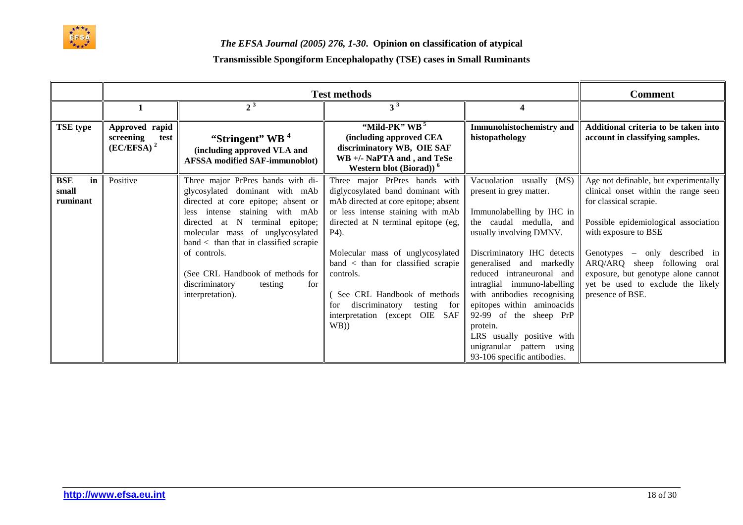

#### **Transmissible Spongiform Encephalopathy (TSE) cases in Small Ruminants**

|                                       |                                                      |                                                                                                                                                                                                                                                                                                                                                                             | <b>Test methods</b>                                                                                                                                                                                                                                                                                                                                                                                   |                                                                                                                                                                                                                                                                                                                                                                                                                                                          | <b>Comment</b>                                                                                                                                                                                                                                                                                                                           |
|---------------------------------------|------------------------------------------------------|-----------------------------------------------------------------------------------------------------------------------------------------------------------------------------------------------------------------------------------------------------------------------------------------------------------------------------------------------------------------------------|-------------------------------------------------------------------------------------------------------------------------------------------------------------------------------------------------------------------------------------------------------------------------------------------------------------------------------------------------------------------------------------------------------|----------------------------------------------------------------------------------------------------------------------------------------------------------------------------------------------------------------------------------------------------------------------------------------------------------------------------------------------------------------------------------------------------------------------------------------------------------|------------------------------------------------------------------------------------------------------------------------------------------------------------------------------------------------------------------------------------------------------------------------------------------------------------------------------------------|
|                                       |                                                      | 2 <sup>3</sup>                                                                                                                                                                                                                                                                                                                                                              | $3^3$                                                                                                                                                                                                                                                                                                                                                                                                 |                                                                                                                                                                                                                                                                                                                                                                                                                                                          |                                                                                                                                                                                                                                                                                                                                          |
| <b>TSE</b> type                       | Approved rapid<br>screening<br>test<br>$(EC/EFSA)^2$ | "Stringent" WB <sup>4</sup><br>(including approved VLA and<br><b>AFSSA</b> modified SAF-immunoblot)                                                                                                                                                                                                                                                                         | "Mild-PK" WB5<br>(including approved CEA<br>discriminatory WB, OIE SAF<br>WB +/- NaPTA and , and TeSe<br>Western blot (Biorad)) $6$                                                                                                                                                                                                                                                                   | <b>Immunohistochemistry and</b><br>histopathology                                                                                                                                                                                                                                                                                                                                                                                                        | Additional criteria to be taken into<br>account in classifying samples.                                                                                                                                                                                                                                                                  |
| <b>BSE</b><br>in<br>small<br>ruminant | Positive                                             | Three major PrPres bands with di-<br>glycosylated dominant with mAb<br>directed at core epitope; absent or<br>less intense staining with mAb<br>directed at N terminal epitope;<br>molecular mass of unglycosylated<br>$band < than that in classified scrapie$<br>of controls.<br>(See CRL Handbook of methods for<br>discriminatory<br>testing<br>for<br>interpretation). | Three major PrPres bands with<br>diglycosylated band dominant with<br>mAb directed at core epitope; absent<br>or less intense staining with mAb<br>directed at N terminal epitope (eg,<br>P4).<br>Molecular mass of unglycosylated<br>band < than for classified scrapie<br>controls.<br>See CRL Handbook of methods<br>discriminatory<br>testing for<br>for<br>interpretation (except OIE SAF<br>WB) | Vacuolation usually (MS)<br>present in grey matter.<br>Immunolabelling by IHC in<br>the caudal medulla, and<br>usually involving DMNV.<br>Discriminatory IHC detects<br>generalised and markedly<br>reduced intraneuronal and<br>intraglial immuno-labelling<br>with antibodies recognising<br>epitopes within aminoacids<br>92-99 of the sheep PrP<br>protein.<br>LRS usually positive with<br>unigranular pattern using<br>93-106 specific antibodies. | Age not definable, but experimentally<br>clinical onset within the range seen<br>for classical scrapie.<br>Possible epidemiological association<br>with exposure to BSE<br>Genotypes – only described in<br>ARQ/ARQ sheep following oral<br>exposure, but genotype alone cannot<br>yet be used to exclude the likely<br>presence of BSE. |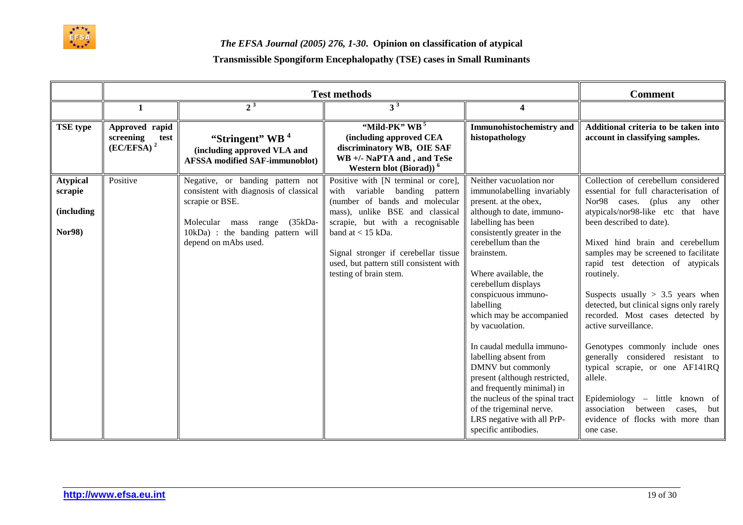

#### **Transmissible Spongiform Encephalopathy (TSE) cases in Small Ruminants**

|                                                                   |                                                      | <b>Comment</b>                                                                                                                                                                                  |                                                                                                                                                                                                                                                                                                                   |                                                                                                                                                                                                                                                                                                                                                                                                                                                                                                                                                                                                        |                                                                                                                                                                                                                                                                                                                                                                                                                                                                                                                                                                                                                                                                                                                                               |
|-------------------------------------------------------------------|------------------------------------------------------|-------------------------------------------------------------------------------------------------------------------------------------------------------------------------------------------------|-------------------------------------------------------------------------------------------------------------------------------------------------------------------------------------------------------------------------------------------------------------------------------------------------------------------|--------------------------------------------------------------------------------------------------------------------------------------------------------------------------------------------------------------------------------------------------------------------------------------------------------------------------------------------------------------------------------------------------------------------------------------------------------------------------------------------------------------------------------------------------------------------------------------------------------|-----------------------------------------------------------------------------------------------------------------------------------------------------------------------------------------------------------------------------------------------------------------------------------------------------------------------------------------------------------------------------------------------------------------------------------------------------------------------------------------------------------------------------------------------------------------------------------------------------------------------------------------------------------------------------------------------------------------------------------------------|
|                                                                   |                                                      | $2^3$                                                                                                                                                                                           | $3^3$                                                                                                                                                                                                                                                                                                             | 4                                                                                                                                                                                                                                                                                                                                                                                                                                                                                                                                                                                                      |                                                                                                                                                                                                                                                                                                                                                                                                                                                                                                                                                                                                                                                                                                                                               |
| <b>TSE</b> type                                                   | Approved rapid<br>screening<br>test<br>$(EC/EFSA)^2$ | "Stringent" WB <sup>4</sup><br>(including approved VLA and<br><b>AFSSA</b> modified SAF-immunoblot)                                                                                             | "Mild-PK" WB<br>(including approved CEA<br>discriminatory WB, OIE SAF<br>WB +/- NaPTA and , and TeSe<br>Western blot (Biorad)) $6$                                                                                                                                                                                | <b>Immunohistochemistry and</b><br>histopathology                                                                                                                                                                                                                                                                                                                                                                                                                                                                                                                                                      | Additional criteria to be taken into<br>account in classifying samples.                                                                                                                                                                                                                                                                                                                                                                                                                                                                                                                                                                                                                                                                       |
| <b>Atypical</b><br>scrapie<br><i>(including)</i><br><b>Nor98)</b> | Positive                                             | Negative, or banding pattern not<br>consistent with diagnosis of classical<br>scrapie or BSE.<br>Molecular mass range<br>$(35kDa-$<br>10kDa) : the banding pattern will<br>depend on mAbs used. | Positive with [N terminal or core],<br>with variable banding pattern<br>(number of bands and molecular<br>mass), unlike BSE and classical<br>scrapie, but with a recognisable<br>band at $<$ 15 kDa.<br>Signal stronger if cerebellar tissue<br>used, but pattern still consistent with<br>testing of brain stem. | Neither vacuolation nor<br>immunolabelling invariably<br>present. at the obex,<br>although to date, immuno-<br>labelling has been<br>consistently greater in the<br>cerebellum than the<br>brainstem.<br>Where available, the<br>cerebellum displays<br>conspicuous immuno-<br>labelling<br>which may be accompanied<br>by vacuolation.<br>In caudal medulla immuno-<br>labelling absent from<br>DMNV but commonly<br>present (although restricted,<br>and frequently minimal) in<br>the nucleus of the spinal tract<br>of the trigeminal nerve.<br>LRS negative with all PrP-<br>specific antibodies. | Collection of cerebellum considered<br>essential for full characterisation of<br>Nor98 cases.<br>(plus any other<br>atypicals/nor98-like etc that have<br>been described to date).<br>Mixed hind brain and cerebellum<br>samples may be screened to facilitate<br>rapid test detection of atypicals<br>routinely.<br>Suspects usually $> 3.5$ years when<br>detected, but clinical signs only rarely<br>recorded. Most cases detected by<br>active surveillance.<br>Genotypes commonly include ones<br>generally considered resistant to $\parallel$<br>typical scrapie, or one AF141RQ $\parallel$<br>allele.<br>Epidemiology - little known of<br>association<br>between<br>but<br>cases.<br>evidence of flocks with more than<br>one case. |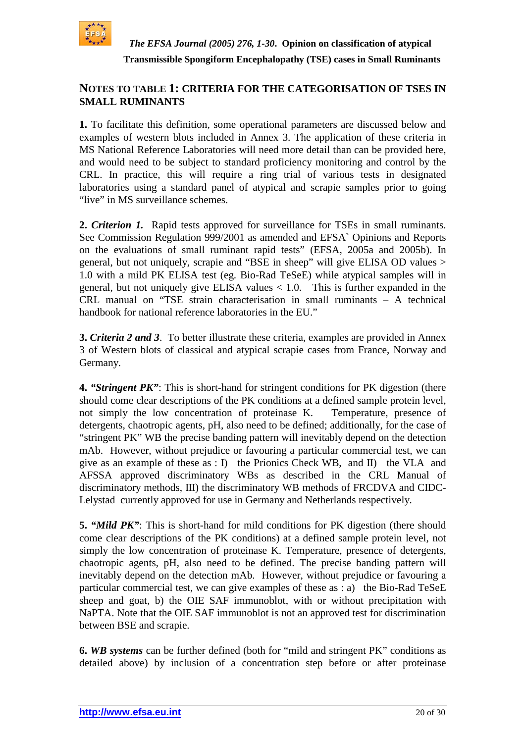

# **NOTES TO TABLE 1: CRITERIA FOR THE CATEGORISATION OF TSES IN SMALL RUMINANTS**

**1.** To facilitate this definition, some operational parameters are discussed below and examples of western blots included in Annex 3. The application of these criteria in MS National Reference Laboratories will need more detail than can be provided here, and would need to be subject to standard proficiency monitoring and control by the CRL. In practice, this will require a ring trial of various tests in designated laboratories using a standard panel of atypical and scrapie samples prior to going "live" in MS surveillance schemes.

**2.** *Criterion 1.* Rapid tests approved for surveillance for TSEs in small ruminants. See Commission Regulation 999/2001 as amended and EFSA` Opinions and Reports on the evaluations of small ruminant rapid tests" (EFSA, 2005a and 2005b). In general, but not uniquely, scrapie and "BSE in sheep" will give ELISA OD values > 1.0 with a mild PK ELISA test (eg. Bio-Rad TeSeE) while atypical samples will in general, but not uniquely give ELISA values < 1.0. This is further expanded in the CRL manual on "TSE strain characterisation in small ruminants – A technical handbook for national reference laboratories in the EU."

**3.** *Criteria 2 and 3*. To better illustrate these criteria, examples are provided in Annex 3 of Western blots of classical and atypical scrapie cases from France, Norway and Germany.

**4.** *"Stringent PK"*: This is short-hand for stringent conditions for PK digestion (there should come clear descriptions of the PK conditions at a defined sample protein level, not simply the low concentration of proteinase K. Temperature, presence of detergents, chaotropic agents, pH, also need to be defined; additionally, for the case of "stringent PK" WB the precise banding pattern will inevitably depend on the detection mAb. However, without prejudice or favouring a particular commercial test, we can give as an example of these as : I) the Prionics Check WB, and II) the VLA and AFSSA approved discriminatory WBs as described in the CRL Manual of discriminatory methods, III) the discriminatory WB methods of FRCDVA and CIDC-Lelystad currently approved for use in Germany and Netherlands respectively.

**5.** *"Mild PK"*: This is short-hand for mild conditions for PK digestion (there should come clear descriptions of the PK conditions) at a defined sample protein level, not simply the low concentration of proteinase K. Temperature, presence of detergents, chaotropic agents, pH, also need to be defined. The precise banding pattern will inevitably depend on the detection mAb. However, without prejudice or favouring a particular commercial test, we can give examples of these as : a) the Bio-Rad TeSeE sheep and goat, b) the OIE SAF immunoblot, with or without precipitation with NaPTA. Note that the OIE SAF immunoblot is not an approved test for discrimination between BSE and scrapie.

**6.** *WB systems* can be further defined (both for "mild and stringent PK" conditions as detailed above) by inclusion of a concentration step before or after proteinase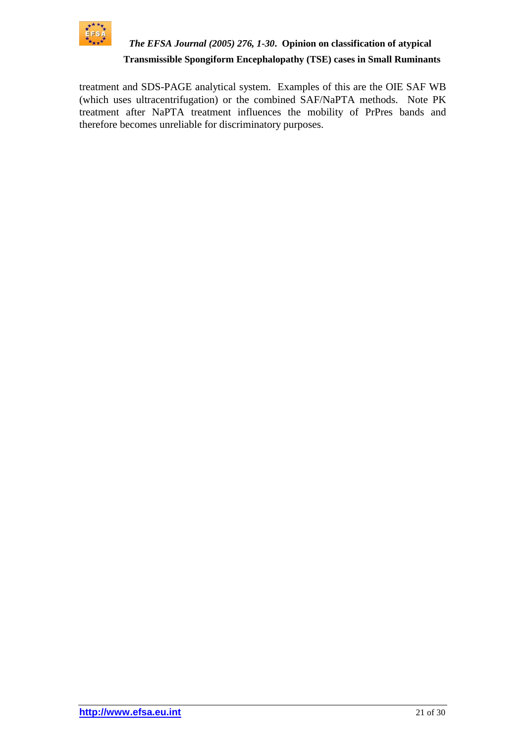

treatment and SDS-PAGE analytical system. Examples of this are the OIE SAF WB (which uses ultracentrifugation) or the combined SAF/NaPTA methods. Note PK treatment after NaPTA treatment influences the mobility of PrPres bands and therefore becomes unreliable for discriminatory purposes.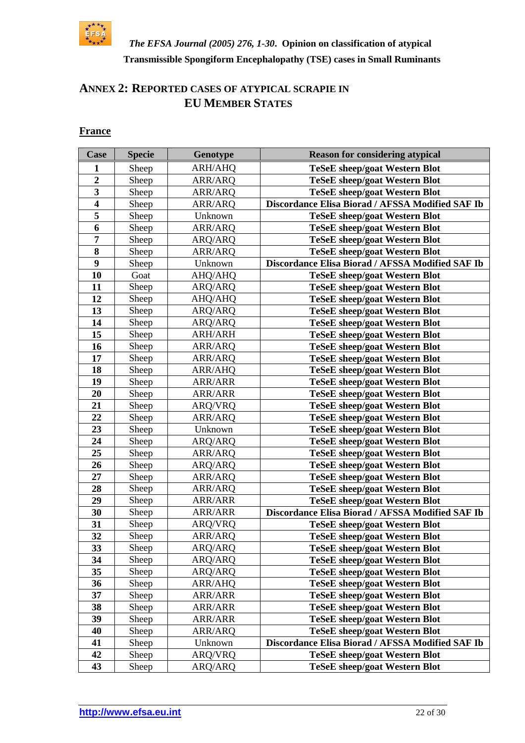

# **ANNEX 2: REPORTED CASES OF ATYPICAL SCRAPIE IN EU MEMBER STATES**

# **France**

| <b>Case</b>             | <b>Specie</b> | Genotype       | <b>Reason for considering atypical</b>           |
|-------------------------|---------------|----------------|--------------------------------------------------|
| $\mathbf{1}$            | Sheep         | <b>ARH/AHQ</b> | <b>TeSeE</b> sheep/goat Western Blot             |
| $\overline{2}$          | Sheep         | <b>ARR/ARO</b> | <b>TeSeE</b> sheep/goat Western Blot             |
| $\mathbf{3}$            | Sheep         | <b>ARR/ARQ</b> | <b>TeSeE</b> sheep/goat Western Blot             |
| $\overline{\mathbf{4}}$ | Sheep         | <b>ARR/ARQ</b> | Discordance Elisa Biorad / AFSSA Modified SAF Ib |
| 5                       | Sheep         | Unknown        | <b>TeSeE</b> sheep/goat Western Blot             |
| 6                       | Sheep         | <b>ARR/ARQ</b> | <b>TeSeE</b> sheep/goat Western Blot             |
| 7                       | Sheep         | ARQ/ARQ        | <b>TeSeE</b> sheep/goat Western Blot             |
| 8                       | Sheep         | ARR/ARQ        | <b>TeSeE</b> sheep/goat Western Blot             |
| 9                       | Sheep         | Unknown        | Discordance Elisa Biorad / AFSSA Modified SAF Ib |
| 10                      | Goat          | AHQ/AHQ        | <b>TeSeE</b> sheep/goat Western Blot             |
| 11                      | Sheep         | ARQ/ARQ        | <b>TeSeE</b> sheep/goat Western Blot             |
| 12                      | Sheep         | AHQ/AHQ        | <b>TeSeE</b> sheep/goat Western Blot             |
| 13                      | Sheep         | ARQ/ARQ        | <b>TeSeE</b> sheep/goat Western Blot             |
| 14                      | Sheep         | ARQ/ARQ        | <b>TeSeE</b> sheep/goat Western Blot             |
| 15                      | Sheep         | <b>ARH/ARH</b> | <b>TeSeE</b> sheep/goat Western Blot             |
| 16                      | Sheep         | ARR/ARQ        | <b>TeSeE</b> sheep/goat Western Blot             |
| 17                      | Sheep         | <b>ARR/ARQ</b> | <b>TeSeE</b> sheep/goat Western Blot             |
| 18                      | Sheep         | <b>ARR/AHQ</b> | <b>TeSeE</b> sheep/goat Western Blot             |
| 19                      | Sheep         | <b>ARR/ARR</b> | <b>TeSeE</b> sheep/goat Western Blot             |
| 20                      | Sheep         | <b>ARR/ARR</b> | <b>TeSeE</b> sheep/goat Western Blot             |
| 21                      | Sheep         | ARQ/VRQ        | <b>TeSeE</b> sheep/goat Western Blot             |
| 22                      | Sheep         | <b>ARR/ARQ</b> | <b>TeSeE</b> sheep/goat Western Blot             |
| 23                      | Sheep         | Unknown        | <b>TeSeE</b> sheep/goat Western Blot             |
| 24                      | Sheep         | ARQ/ARQ        | <b>TeSeE</b> sheep/goat Western Blot             |
| 25                      | Sheep         | ARR/ARQ        | <b>TeSeE</b> sheep/goat Western Blot             |
| 26                      | Sheep         | ARQ/ARQ        | <b>TeSeE</b> sheep/goat Western Blot             |
| 27                      | Sheep         | ARR/ARQ        | <b>TeSeE</b> sheep/goat Western Blot             |
| 28                      | Sheep         | ARR/ARQ        | <b>TeSeE</b> sheep/goat Western Blot             |
| 29                      | Sheep         | <b>ARR/ARR</b> | <b>TeSeE</b> sheep/goat Western Blot             |
| 30                      | Sheep         | <b>ARR/ARR</b> | Discordance Elisa Biorad / AFSSA Modified SAF Ib |
| 31                      | Sheep         | ARQ/VRQ        | <b>TeSeE</b> sheep/goat Western Blot             |
| 32                      | Sheep         | ARR/ARQ        | <b>TeSeE</b> sheep/goat Western Blot             |
| 33                      | Sheep         | ARQ/ARQ        | <b>TeSeE</b> sheep/goat Western Blot             |
| 34                      | Sheep         | ARQ/ARQ        | <b>TeSeE</b> sheep/goat Western Blot             |
| 35                      | Sheep         | ARQ/ARQ        | <b>TeSeE</b> sheep/goat Western Blot             |
| 36                      | Sheep         | <b>ARR/AHQ</b> | <b>TeSeE</b> sheep/goat Western Blot             |
| 37                      | Sheep         | <b>ARR/ARR</b> | <b>TeSeE</b> sheep/goat Western Blot             |
| 38                      | Sheep         | <b>ARR/ARR</b> | <b>TeSeE</b> sheep/goat Western Blot             |
| 39                      | Sheep         | <b>ARR/ARR</b> | <b>TeSeE</b> sheep/goat Western Blot             |
| 40                      | Sheep         | <b>ARR/ARQ</b> | <b>TeSeE</b> sheep/goat Western Blot             |
| 41                      | Sheep         | Unknown        | Discordance Elisa Biorad / AFSSA Modified SAF Ib |
| 42                      | Sheep         | ARQ/VRQ        | <b>TeSeE</b> sheep/goat Western Blot             |
| 43                      | Sheep         | ARQ/ARQ        | <b>TeSeE</b> sheep/goat Western Blot             |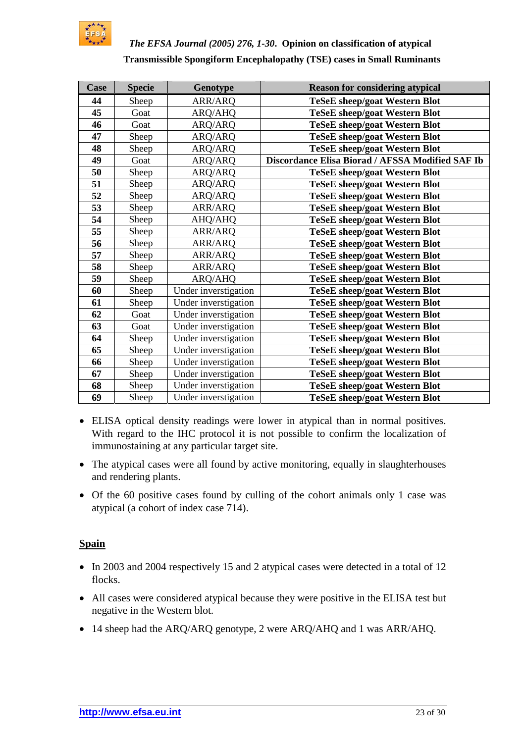

 **Transmissible Spongiform Encephalopathy (TSE) cases in Small Ruminants** 

| Case | <b>Specie</b> | <b>Genotype</b>      | <b>Reason for considering atypical</b>           |
|------|---------------|----------------------|--------------------------------------------------|
| 44   | Sheep         | ARR/ARQ              | <b>TeSeE</b> sheep/goat Western Blot             |
| 45   | Goat          | ARQ/AHQ              | <b>TeSeE</b> sheep/goat Western Blot             |
| 46   | Goat          | ARQ/ARQ              | <b>TeSeE</b> sheep/goat Western Blot             |
| 47   | Sheep         | ARQ/ARQ              | <b>TeSeE</b> sheep/goat Western Blot             |
| 48   | Sheep         | ARQ/ARQ              | <b>TeSeE</b> sheep/goat Western Blot             |
| 49   | Goat          | ARQ/ARQ              | Discordance Elisa Biorad / AFSSA Modified SAF Ib |
| 50   | Sheep         | ARQ/ARQ              | <b>TeSeE</b> sheep/goat Western Blot             |
| 51   | Sheep         | ARQ/ARQ              | <b>TeSeE</b> sheep/goat Western Blot             |
| 52   | Sheep         | ARQ/ARQ              | <b>TeSeE</b> sheep/goat Western Blot             |
| 53   | Sheep         | ARR/ARQ              | <b>TeSeE</b> sheep/goat Western Blot             |
| 54   | Sheep         | AHQ/AHQ              | <b>TeSeE</b> sheep/goat Western Blot             |
| 55   | Sheep         | ARR/ARQ              | <b>TeSeE</b> sheep/goat Western Blot             |
| 56   | Sheep         | ARR/ARQ              | <b>TeSeE</b> sheep/goat Western Blot             |
| 57   | Sheep         | ARR/ARQ              | <b>TeSeE</b> sheep/goat Western Blot             |
| 58   | Sheep         | ARR/ARQ              | <b>TeSeE</b> sheep/goat Western Blot             |
| 59   | Sheep         | ARQ/AHQ              | <b>TeSeE</b> sheep/goat Western Blot             |
| 60   | Sheep         | Under inverstigation | <b>TeSeE</b> sheep/goat Western Blot             |
| 61   | Sheep         | Under inverstigation | <b>TeSeE</b> sheep/goat Western Blot             |
| 62   | Goat          | Under inverstigation | <b>TeSeE</b> sheep/goat Western Blot             |
| 63   | Goat          | Under inverstigation | <b>TeSeE</b> sheep/goat Western Blot             |
| 64   | Sheep         | Under inverstigation | <b>TeSeE</b> sheep/goat Western Blot             |
| 65   | Sheep         | Under inverstigation | <b>TeSeE sheep/goat Western Blot</b>             |
| 66   | Sheep         | Under inverstigation | <b>TeSeE</b> sheep/goat Western Blot             |
| 67   | Sheep         | Under inverstigation | <b>TeSeE</b> sheep/goat Western Blot             |
| 68   | Sheep         | Under inverstigation | <b>TeSeE</b> sheep/goat Western Blot             |
| 69   | Sheep         | Under inverstigation | <b>TeSeE</b> sheep/goat Western Blot             |

- ELISA optical density readings were lower in atypical than in normal positives. With regard to the IHC protocol it is not possible to confirm the localization of immunostaining at any particular target site.
- The atypical cases were all found by active monitoring, equally in slaughterhouses and rendering plants.
- Of the 60 positive cases found by culling of the cohort animals only 1 case was atypical (a cohort of index case 714).

# **Spain**

- In 2003 and 2004 respectively 15 and 2 atypical cases were detected in a total of 12 flocks.
- All cases were considered atypical because they were positive in the ELISA test but negative in the Western blot.
- 14 sheep had the ARQ/ARQ genotype, 2 were ARQ/AHQ and 1 was ARR/AHQ.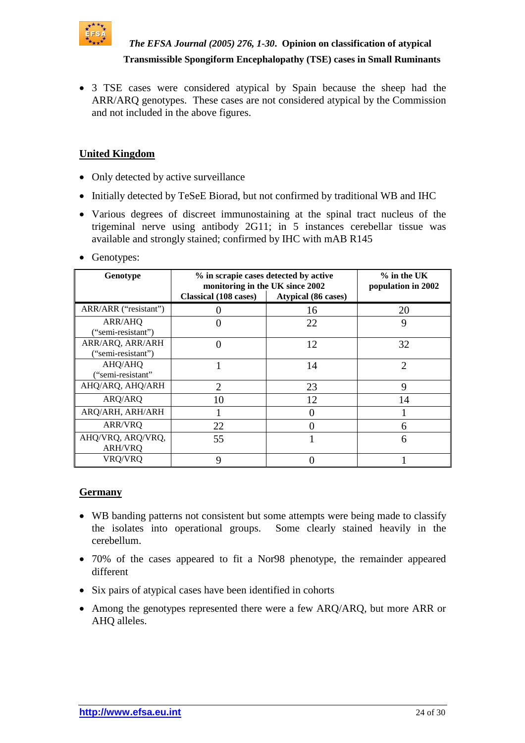

• 3 TSE cases were considered atypical by Spain because the sheep had the ARR/ARQ genotypes. These cases are not considered atypical by the Commission and not included in the above figures.

#### **United Kingdom**

- Only detected by active surveillance
- Initially detected by TeSeE Biorad, but not confirmed by traditional WB and IHC
- Various degrees of discreet immunostaining at the spinal tract nucleus of the trigeminal nerve using antibody 2G11; in 5 instances cerebellar tissue was available and strongly stained; confirmed by IHC with mAB R145
- Genotypes:

| Genotype                               | % in scrapie cases detected by active<br>monitoring in the UK since 2002 | $\%$ in the UK<br>population in 2002 |                |
|----------------------------------------|--------------------------------------------------------------------------|--------------------------------------|----------------|
|                                        | <b>Classical</b> (108 cases)                                             | <b>Atypical</b> (86 cases)           |                |
| ARR/ARR ("resistant")                  |                                                                          | 16                                   | 20             |
| <b>ARR/AHO</b><br>("semi-resistant")   |                                                                          | 22                                   | 9              |
| ARR/ARQ, ARR/ARH<br>("semi-resistant") | 0                                                                        | 12                                   | 32             |
| AHQ/AHQ<br>("semi-resistant"           |                                                                          | 14                                   | $\mathfrak{D}$ |
| AHQ/ARQ, AHQ/ARH                       | $\overline{2}$                                                           | 23                                   | 9              |
| ARQ/ARQ                                | 10                                                                       | 12                                   | 14             |
| ARQ/ARH, ARH/ARH                       |                                                                          |                                      |                |
| ARR/VRO                                | 22                                                                       |                                      | 6              |
| AHQ/VRQ, ARQ/VRQ,<br><b>ARH/VRQ</b>    | 55                                                                       |                                      | 6              |
| VRQ/VRQ                                | 9                                                                        |                                      |                |

#### **Germany**

- WB banding patterns not consistent but some attempts were being made to classify the isolates into operational groups. Some clearly stained heavily in the cerebellum.
- 70% of the cases appeared to fit a Nor98 phenotype, the remainder appeared different
- Six pairs of atypical cases have been identified in cohorts
- Among the genotypes represented there were a few ARQ/ARQ, but more ARR or AHQ alleles.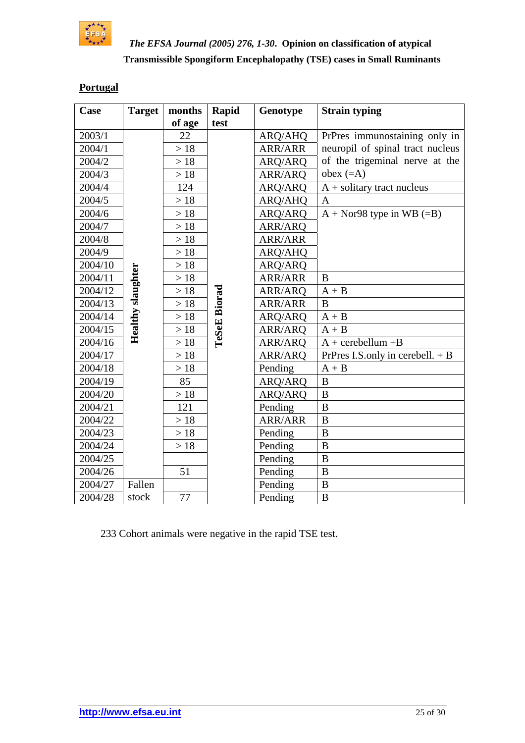

# **Portugal**

| Case    | <b>Target</b>            | months | Rapid               | Genotype       | <b>Strain typing</b>                |
|---------|--------------------------|--------|---------------------|----------------|-------------------------------------|
|         |                          | of age | test                |                |                                     |
| 2003/1  |                          | 22     |                     | ARQ/AHQ        | PrPres immunostaining only in       |
| 2004/1  |                          | >18    |                     | <b>ARR/ARR</b> | neuropil of spinal tract nucleus    |
| 2004/2  |                          | >18    |                     | ARQ/ARQ        | of the trigeminal nerve at the      |
| 2004/3  |                          | >18    |                     | ARR/ARO        | obex $(=A)$                         |
| 2004/4  |                          | 124    |                     | ARQ/ARQ        | $A +$ solitary tract nucleus        |
| 2004/5  |                          | >18    |                     | ARQ/AHQ        | $\mathbf{A}$                        |
| 2004/6  |                          | >18    |                     | ARQ/ARQ        | $A + Nor98$ type in WB (=B)         |
| 2004/7  |                          | $>18$  |                     | ARR/ARQ        |                                     |
| 2004/8  |                          | >18    |                     | <b>ARR/ARR</b> |                                     |
| 2004/9  |                          | >18    |                     | ARQ/AHQ        |                                     |
| 2004/10 |                          | >18    |                     | ARQ/ARQ        |                                     |
| 2004/11 |                          | >18    |                     | <b>ARR/ARR</b> | B                                   |
| 2004/12 |                          | >18    |                     | <b>ARR/ARO</b> | $A + B$                             |
| 2004/13 |                          | >18    |                     | <b>ARR/ARR</b> | B                                   |
| 2004/14 |                          | >18    |                     | ARQ/ARQ        | $A + B$                             |
| 2004/15 | <b>Healthy slaughter</b> | $>18$  | <b>TeSeE Biorad</b> | ARR/ARQ        | $A + B$                             |
| 2004/16 |                          | >18    |                     | ARR/ARQ        | $A + cerebellum + B$                |
| 2004/17 |                          | >18    |                     | ARR/ARO        | PrPres I.S. only in cerebell. $+ B$ |
| 2004/18 |                          | >18    |                     | Pending        | $A + B$                             |
| 2004/19 |                          | 85     |                     | ARQ/ARQ        | B                                   |
| 2004/20 |                          | >18    |                     | ARQ/ARQ        | $\bf{B}$                            |
| 2004/21 |                          | 121    |                     | Pending        | B                                   |
| 2004/22 |                          | >18    |                     | <b>ARR/ARR</b> | $\bf{B}$                            |
| 2004/23 |                          | >18    |                     | Pending        | $\overline{B}$                      |
| 2004/24 |                          | >18    |                     | Pending        | $\bf{B}$                            |
| 2004/25 |                          |        |                     | Pending        | $\bf{B}$                            |
| 2004/26 |                          | 51     |                     | Pending        | $\bf{B}$                            |
| 2004/27 | Fallen                   |        |                     | Pending        | B                                   |
| 2004/28 | stock                    | 77     |                     | Pending        | $\bf{B}$                            |

233 Cohort animals were negative in the rapid TSE test.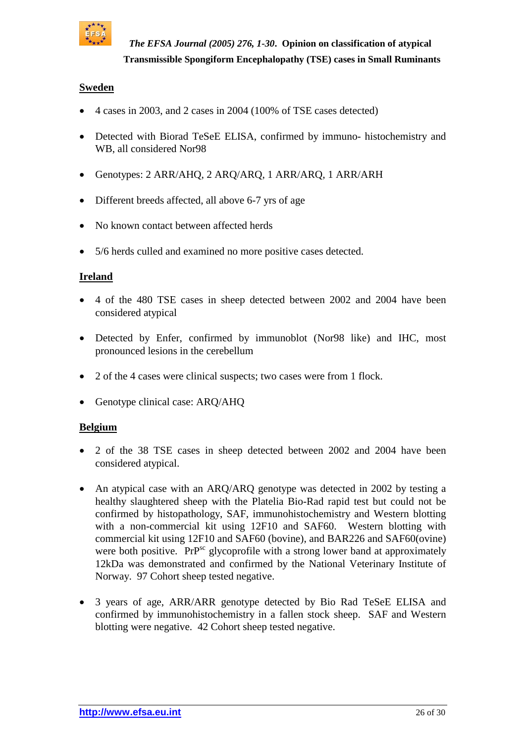

#### **Sweden**

- 4 cases in 2003, and 2 cases in 2004 (100% of TSE cases detected)
- Detected with Biorad TeSeE ELISA, confirmed by immuno- histochemistry and WB, all considered Nor98
- Genotypes: 2 ARR/AHQ, 2 ARQ/ARQ, 1 ARR/ARQ, 1 ARR/ARH
- Different breeds affected, all above 6-7 yrs of age
- No known contact between affected herds
- 5/6 herds culled and examined no more positive cases detected.

#### **Ireland**

- 4 of the 480 TSE cases in sheep detected between 2002 and 2004 have been considered atypical
- Detected by Enfer, confirmed by immunoblot (Nor98 like) and IHC, most pronounced lesions in the cerebellum
- 2 of the 4 cases were clinical suspects; two cases were from 1 flock.
- Genotype clinical case: ARQ/AHQ

#### **Belgium**

- 2 of the 38 TSE cases in sheep detected between 2002 and 2004 have been considered atypical.
- An atypical case with an ARQ/ARQ genotype was detected in 2002 by testing a healthy slaughtered sheep with the Platelia Bio-Rad rapid test but could not be confirmed by histopathology, SAF, immunohistochemistry and Western blotting with a non-commercial kit using 12F10 and SAF60. Western blotting with commercial kit using 12F10 and SAF60 (bovine), and BAR226 and SAF60(ovine) were both positive. Pr $P^{sc}$  glycoprofile with a strong lower band at approximately 12kDa was demonstrated and confirmed by the National Veterinary Institute of Norway. 97 Cohort sheep tested negative.
- 3 years of age, ARR/ARR genotype detected by Bio Rad TeSeE ELISA and confirmed by immunohistochemistry in a fallen stock sheep. SAF and Western blotting were negative. 42 Cohort sheep tested negative.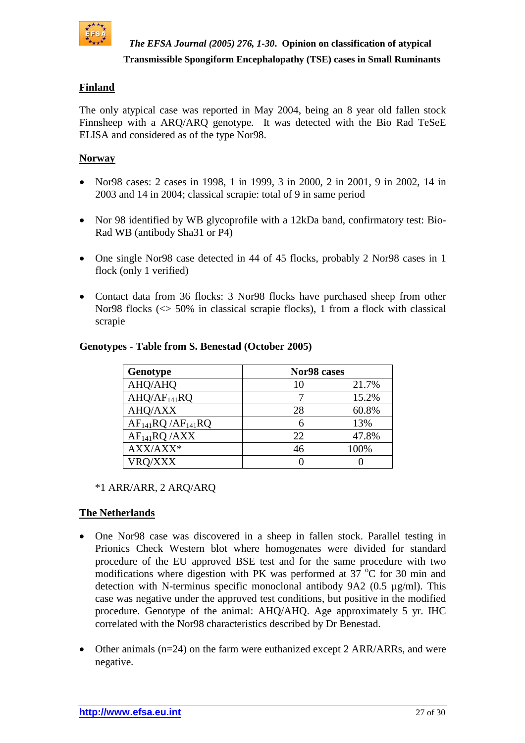

#### **Finland**

The only atypical case was reported in May 2004, being an 8 year old fallen stock Finnsheep with a ARQ/ARQ genotype. It was detected with the Bio Rad TeSeE ELISA and considered as of the type Nor98.

#### **Norway**

- Nor98 cases: 2 cases in 1998, 1 in 1999, 3 in 2000, 2 in 2001, 9 in 2002, 14 in 2003 and 14 in 2004; classical scrapie: total of 9 in same period
- Nor 98 identified by WB glycoprofile with a 12kDa band, confirmatory test: Bio-Rad WB (antibody Sha31 or P4)
- One single Nor98 case detected in 44 of 45 flocks, probably 2 Nor98 cases in 1 flock (only 1 verified)
- Contact data from 36 flocks: 3 Nor98 flocks have purchased sheep from other Nor98 flocks (<> 50% in classical scrapie flocks), 1 from a flock with classical scrapie

| Genotype                 |    | Nor98 cases |
|--------------------------|----|-------------|
| AHQ/AHQ                  | 10 | 21.7%       |
| AHQ/AF <sub>141</sub> RQ |    | 15.2%       |
| AHQ/AXX                  | 28 | 60.8%       |
| $AF_{141}RQ/AF_{141}RQ$  |    | 13%         |
| $AF_{141}RQ$ /AXX        | 22 | 47.8%       |
| AXX/AXX*                 | 46 | 100%        |
| VRO/XXX                  |    |             |

#### **Genotypes - Table from S. Benestad (October 2005)**

\*1 ARR/ARR, 2 ARQ/ARQ

#### **The Netherlands**

- One Nor98 case was discovered in a sheep in fallen stock. Parallel testing in Prionics Check Western blot where homogenates were divided for standard procedure of the EU approved BSE test and for the same procedure with two modifications where digestion with PK was performed at  $37^{\circ}$ C for 30 min and detection with N-terminus specific monoclonal antibody 9A2 (0.5 µg/ml). This case was negative under the approved test conditions, but positive in the modified procedure. Genotype of the animal: AHQ/AHQ. Age approximately 5 yr. IHC correlated with the Nor98 characteristics described by Dr Benestad.
- Other animals (n=24) on the farm were euthanized except 2 ARR/ARRs, and were negative.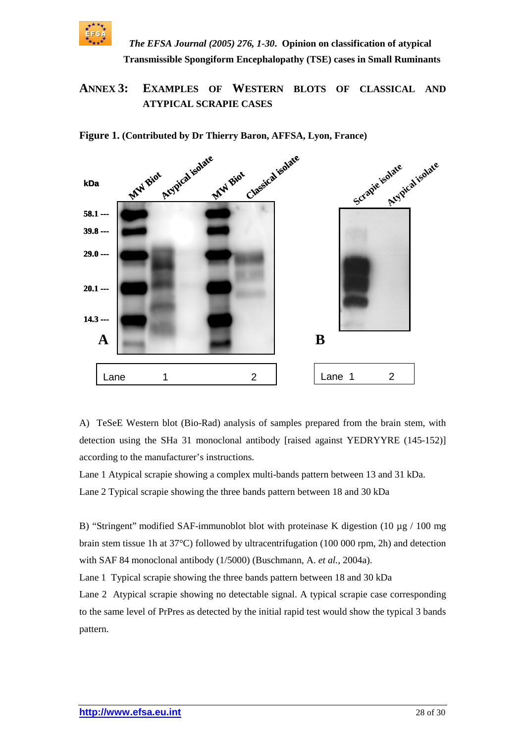

# **ANNEX 3: EXAMPLES OF WESTERN BLOTS OF CLASSICAL AND ATYPICAL SCRAPIE CASES**



**Figure 1. (Contributed by Dr Thierry Baron, AFFSA, Lyon, France)** 

A) TeSeE Western blot (Bio-Rad) analysis of samples prepared from the brain stem, with detection using the SHa 31 monoclonal antibody [raised against YEDRYYRE (145-152)] according to the manufacturer's instructions.

Lane 1 Atypical scrapie showing a complex multi-bands pattern between 13 and 31 kDa. Lane 2 Typical scrapie showing the three bands pattern between 18 and 30 kDa

B) "Stringent" modified SAF-immunoblot blot with proteinase K digestion (10 µg / 100 mg) brain stem tissue 1h at 37°C) followed by ultracentrifugation (100 000 rpm, 2h) and detection with SAF 84 monoclonal antibody (1/5000) (Buschmann, A. *et al.,* 2004a).

Lane 1 Typical scrapie showing the three bands pattern between 18 and 30 kDa

Lane 2 Atypical scrapie showing no detectable signal. A typical scrapie case corresponding to the same level of PrPres as detected by the initial rapid test would show the typical 3 bands pattern.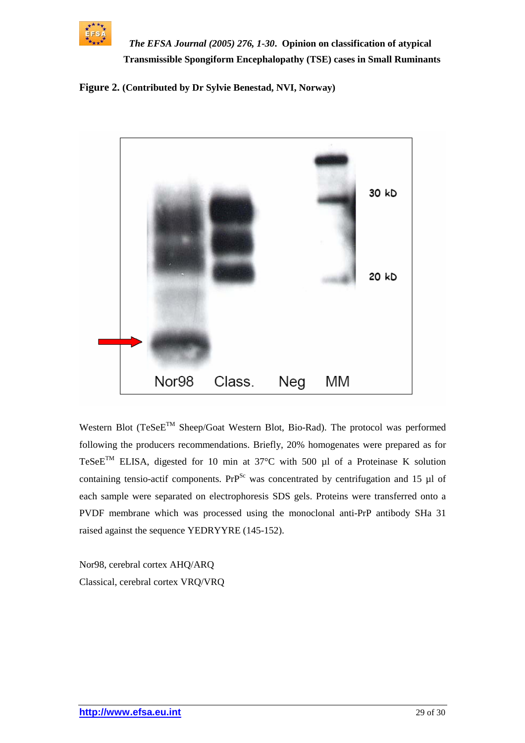

**Figure 2. (Contributed by Dr Sylvie Benestad, NVI, Norway)** 



Western Blot (TeSeE<sup>TM</sup> Sheep/Goat Western Blot, Bio-Rad). The protocol was performed following the producers recommendations. Briefly, 20% homogenates were prepared as for TeSe $E^{TM}$  ELISA, digested for 10 min at 37°C with 500 µl of a Proteinase K solution containing tensio-actif components. PrP<sup>Sc</sup> was concentrated by centrifugation and 15  $\mu$ l of each sample were separated on electrophoresis SDS gels. Proteins were transferred onto a PVDF membrane which was processed using the monoclonal anti-PrP antibody SHa 31 raised against the sequence YEDRYYRE (145-152).

Nor98, cerebral cortex AHQ/ARQ Classical, cerebral cortex VRQ/VRQ